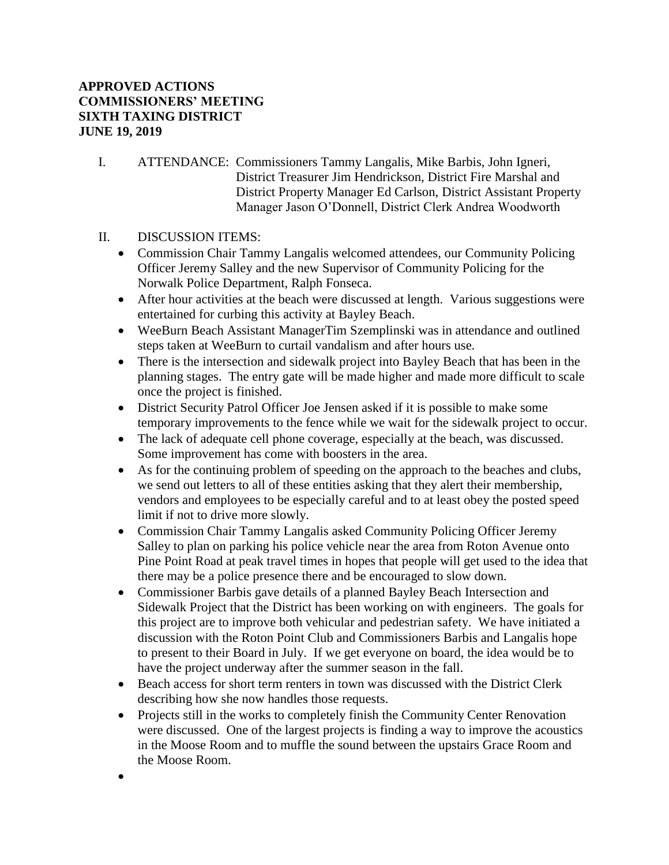## **APPROVED ACTIONS COMMISSIONERS' MEETING SIXTH TAXING DISTRICT JUNE 19, 2019**

- I. ATTENDANCE: Commissioners Tammy Langalis, Mike Barbis, John Igneri, District Treasurer Jim Hendrickson, District Fire Marshal and District Property Manager Ed Carlson, District Assistant Property Manager Jason O'Donnell, District Clerk Andrea Woodworth
- II. DISCUSSION ITEMS:

•

- Commission Chair Tammy Langalis welcomed attendees, our Community Policing Officer Jeremy Salley and the new Supervisor of Community Policing for the Norwalk Police Department, Ralph Fonseca.
- After hour activities at the beach were discussed at length. Various suggestions were entertained for curbing this activity at Bayley Beach.
- WeeBurn Beach Assistant ManagerTim Szemplinski was in attendance and outlined steps taken at WeeBurn to curtail vandalism and after hours use.
- There is the intersection and sidewalk project into Bayley Beach that has been in the planning stages. The entry gate will be made higher and made more difficult to scale once the project is finished.
- District Security Patrol Officer Joe Jensen asked if it is possible to make some temporary improvements to the fence while we wait for the sidewalk project to occur.
- The lack of adequate cell phone coverage, especially at the beach, was discussed. Some improvement has come with boosters in the area.
- As for the continuing problem of speeding on the approach to the beaches and clubs, we send out letters to all of these entities asking that they alert their membership, vendors and employees to be especially careful and to at least obey the posted speed limit if not to drive more slowly.
- Commission Chair Tammy Langalis asked Community Policing Officer Jeremy Salley to plan on parking his police vehicle near the area from Roton Avenue onto Pine Point Road at peak travel times in hopes that people will get used to the idea that there may be a police presence there and be encouraged to slow down.
- Commissioner Barbis gave details of a planned Bayley Beach Intersection and Sidewalk Project that the District has been working on with engineers. The goals for this project are to improve both vehicular and pedestrian safety. We have initiated a discussion with the Roton Point Club and Commissioners Barbis and Langalis hope to present to their Board in July. If we get everyone on board, the idea would be to have the project underway after the summer season in the fall.
- Beach access for short term renters in town was discussed with the District Clerk describing how she now handles those requests.
- Projects still in the works to completely finish the Community Center Renovation were discussed. One of the largest projects is finding a way to improve the acoustics in the Moose Room and to muffle the sound between the upstairs Grace Room and the Moose Room.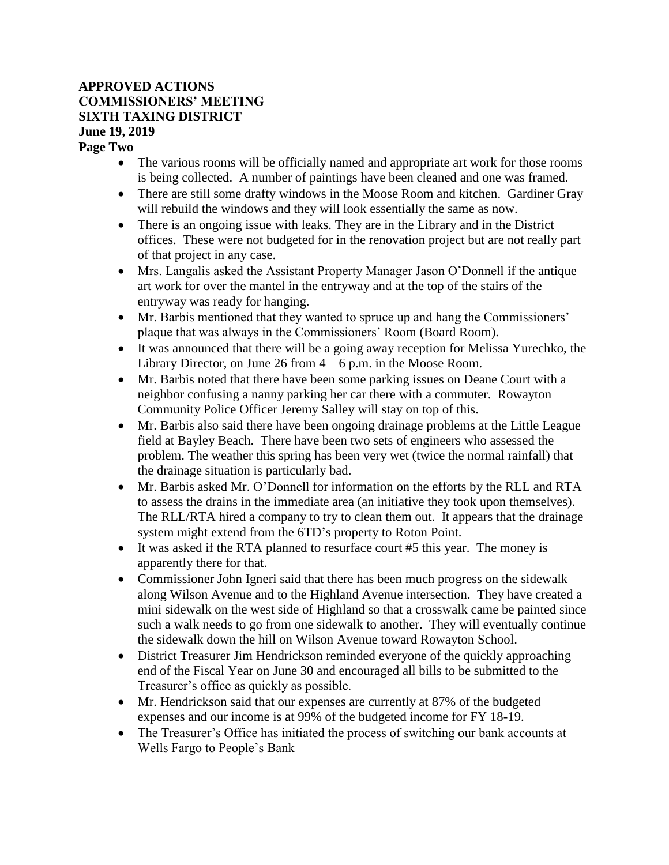## **APPROVED ACTIONS COMMISSIONERS' MEETING SIXTH TAXING DISTRICT June 19, 2019**

**Page Two**

- The various rooms will be officially named and appropriate art work for those rooms is being collected. A number of paintings have been cleaned and one was framed.
- There are still some drafty windows in the Moose Room and kitchen. Gardiner Gray will rebuild the windows and they will look essentially the same as now.
- There is an ongoing issue with leaks. They are in the Library and in the District offices. These were not budgeted for in the renovation project but are not really part of that project in any case.
- Mrs. Langalis asked the Assistant Property Manager Jason O'Donnell if the antique art work for over the mantel in the entryway and at the top of the stairs of the entryway was ready for hanging.
- Mr. Barbis mentioned that they wanted to spruce up and hang the Commissioners' plaque that was always in the Commissioners' Room (Board Room).
- It was announced that there will be a going away reception for Melissa Yurechko, the Library Director, on June 26 from  $4 - 6$  p.m. in the Moose Room.
- Mr. Barbis noted that there have been some parking issues on Deane Court with a neighbor confusing a nanny parking her car there with a commuter. Rowayton Community Police Officer Jeremy Salley will stay on top of this.
- Mr. Barbis also said there have been ongoing drainage problems at the Little League field at Bayley Beach. There have been two sets of engineers who assessed the problem. The weather this spring has been very wet (twice the normal rainfall) that the drainage situation is particularly bad.
- Mr. Barbis asked Mr. O'Donnell for information on the efforts by the RLL and RTA to assess the drains in the immediate area (an initiative they took upon themselves). The RLL/RTA hired a company to try to clean them out. It appears that the drainage system might extend from the 6TD's property to Roton Point.
- It was asked if the RTA planned to resurface court #5 this year. The money is apparently there for that.
- Commissioner John Igneri said that there has been much progress on the sidewalk along Wilson Avenue and to the Highland Avenue intersection. They have created a mini sidewalk on the west side of Highland so that a crosswalk came be painted since such a walk needs to go from one sidewalk to another. They will eventually continue the sidewalk down the hill on Wilson Avenue toward Rowayton School.
- District Treasurer Jim Hendrickson reminded everyone of the quickly approaching end of the Fiscal Year on June 30 and encouraged all bills to be submitted to the Treasurer's office as quickly as possible.
- Mr. Hendrickson said that our expenses are currently at 87% of the budgeted expenses and our income is at 99% of the budgeted income for FY 18-19.
- The Treasurer's Office has initiated the process of switching our bank accounts at Wells Fargo to People's Bank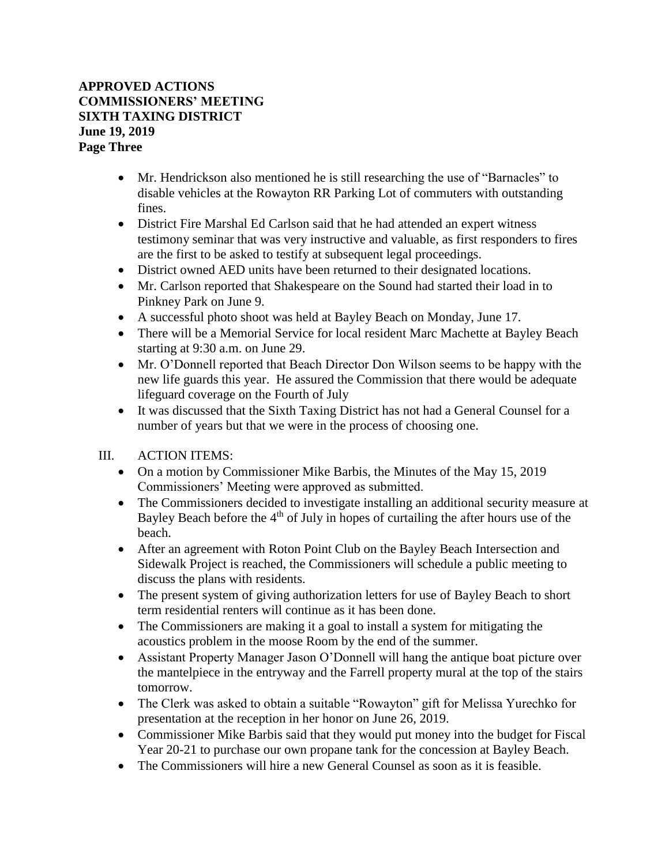## **APPROVED ACTIONS COMMISSIONERS' MEETING SIXTH TAXING DISTRICT June 19, 2019 Page Three**

- Mr. Hendrickson also mentioned he is still researching the use of "Barnacles" to disable vehicles at the Rowayton RR Parking Lot of commuters with outstanding fines.
- District Fire Marshal Ed Carlson said that he had attended an expert witness testimony seminar that was very instructive and valuable, as first responders to fires are the first to be asked to testify at subsequent legal proceedings.
- District owned AED units have been returned to their designated locations.
- Mr. Carlson reported that Shakespeare on the Sound had started their load in to Pinkney Park on June 9.
- A successful photo shoot was held at Bayley Beach on Monday, June 17.
- There will be a Memorial Service for local resident Marc Machette at Bayley Beach starting at 9:30 a.m. on June 29.
- Mr. O'Donnell reported that Beach Director Don Wilson seems to be happy with the new life guards this year. He assured the Commission that there would be adequate lifeguard coverage on the Fourth of July
- It was discussed that the Sixth Taxing District has not had a General Counsel for a number of years but that we were in the process of choosing one.
- III. ACTION ITEMS:
	- On a motion by Commissioner Mike Barbis, the Minutes of the May 15, 2019 Commissioners' Meeting were approved as submitted.
	- The Commissioners decided to investigate installing an additional security measure at Bayley Beach before the 4<sup>th</sup> of July in hopes of curtailing the after hours use of the beach.
	- After an agreement with Roton Point Club on the Bayley Beach Intersection and Sidewalk Project is reached, the Commissioners will schedule a public meeting to discuss the plans with residents.
	- The present system of giving authorization letters for use of Bayley Beach to short term residential renters will continue as it has been done.
	- The Commissioners are making it a goal to install a system for mitigating the acoustics problem in the moose Room by the end of the summer.
	- Assistant Property Manager Jason O'Donnell will hang the antique boat picture over the mantelpiece in the entryway and the Farrell property mural at the top of the stairs tomorrow.
	- The Clerk was asked to obtain a suitable "Rowayton" gift for Melissa Yurechko for presentation at the reception in her honor on June 26, 2019.
	- Commissioner Mike Barbis said that they would put money into the budget for Fiscal Year 20-21 to purchase our own propane tank for the concession at Bayley Beach.
	- The Commissioners will hire a new General Counsel as soon as it is feasible.